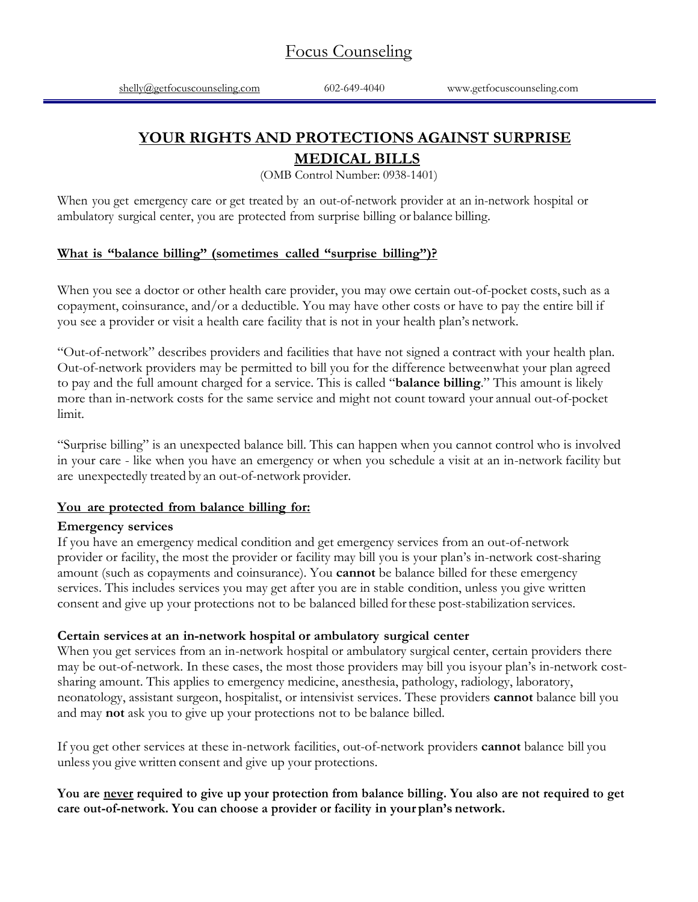# **YOUR RIGHTS AND PROTECTIONS AGAINST SURPRISE**

## **MEDICAL BILLS**

(OMB Control Number: 0938-1401)

When you get emergency care or get treated by an out-of-network provider at an in-network hospital or ambulatory surgical center, you are protected from surprise billing or balance billing.

#### **What is "balance billing" (sometimes called "surprise billing")?**

When you see a doctor or other health care provider, you may owe certain out-of-pocket costs, such as a copayment, coinsurance, and/or a deductible. You may have other costs or have to pay the entire bill if you see a provider or visit a health care facility that is not in your health plan's network.

"Out-of-network" describes providers and facilities that have not signed a contract with your health plan. Out-of-network providers may be permitted to bill you for the difference betweenwhat your plan agreed to pay and the full amount charged for a service. This is called "**balance billing**." This amount is likely more than in-network costs for the same service and might not count toward your annual out-of-pocket limit.

"Surprise billing" is an unexpected balance bill. This can happen when you cannot control who is involved in your care - like when you have an emergency or when you schedule a visit at an in-network facility but are unexpectedly treated by an out-of-network provider.

#### **You are protected from balance billing for:**

#### **Emergency services**

If you have an emergency medical condition and get emergency services from an out-of-network provider or facility, the most the provider or facility may bill you is your plan's in-network cost-sharing amount (such as copayments and coinsurance). You **cannot** be balance billed for these emergency services. This includes services you may get after you are in stable condition, unless you give written consent and give up your protections not to be balanced billed forthese post-stabilization services.

#### **Certain services at an in-network hospital or ambulatory surgical center**

When you get services from an in-network hospital or ambulatory surgical center, certain providers there may be out-of-network. In these cases, the most those providers may bill you isyour plan's in-network costsharing amount. This applies to emergency medicine, anesthesia, pathology, radiology, laboratory, neonatology, assistant surgeon, hospitalist, or intensivist services. These providers **cannot** balance bill you and may **not** ask you to give up your protections not to be balance billed.

If you get other services at these in-network facilities, out-of-network providers **cannot** balance bill you unless you give written consent and give up your protections.

#### **You are never required to give up your protection from balance billing. You also are not required to get care out-of-network. You can choose a provider or facility in your plan's network.**